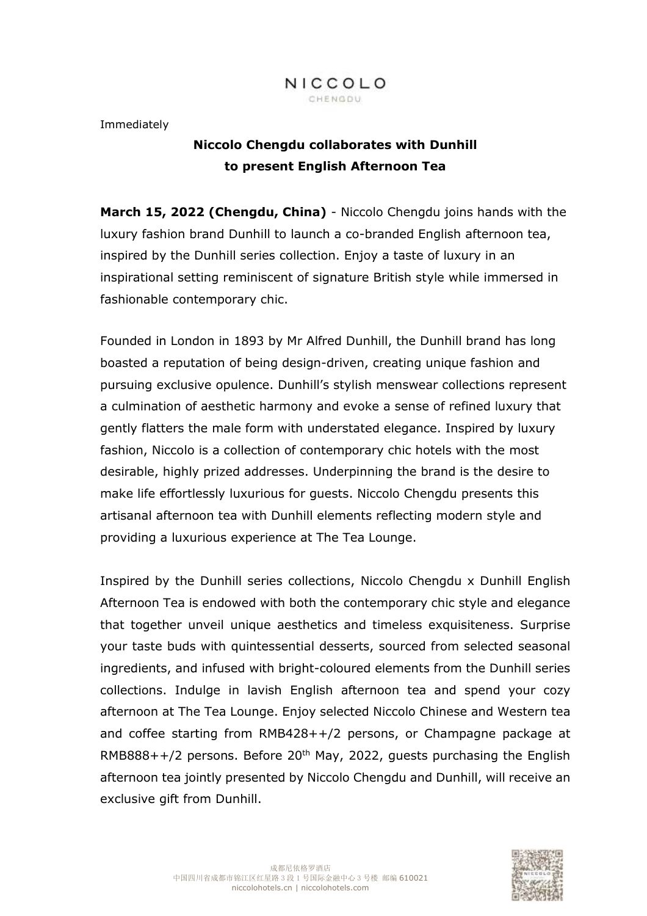

Immediately

# **Niccolo Chengdu collaborates with Dunhill to present English Afternoon Tea**

**March 15, 2022 (Chengdu, China)** - Niccolo Chengdu joins hands with the luxury fashion brand Dunhill to launch a co-branded English afternoon tea, inspired by the Dunhill series collection. Enjoy a taste of luxury in an inspirational setting reminiscent of signature British style while immersed in fashionable contemporary chic.

Founded in London in 1893 by Mr Alfred Dunhill, the Dunhill brand has long boasted a reputation of being design-driven, creating unique fashion and pursuing exclusive opulence. Dunhill's stylish menswear collections represent a culmination of aesthetic harmony and evoke a sense of refined luxury that gently flatters the male form with understated elegance. Inspired by luxury fashion, Niccolo is a collection of contemporary chic hotels with the most desirable, highly prized addresses. Underpinning the brand is the desire to make life effortlessly luxurious for guests. Niccolo Chengdu presents this artisanal afternoon tea with Dunhill elements reflecting modern style and providing a luxurious experience at The Tea Lounge.

Inspired by the Dunhill series collections, Niccolo Chengdu x Dunhill English Afternoon Tea is endowed with both the contemporary chic style and elegance that together unveil unique aesthetics and timeless exquisiteness. Surprise your taste buds with quintessential desserts, sourced from selected seasonal ingredients, and infused with bright-coloured elements from the Dunhill series collections. Indulge in lavish English afternoon tea and spend your cozy afternoon at The Tea Lounge. Enjoy selected Niccolo Chinese and Western tea and coffee starting from RMB428++/2 persons, or Champagne package at  $RMB888++/2$  persons. Before 20<sup>th</sup> May, 2022, guests purchasing the English afternoon tea jointly presented by Niccolo Chengdu and Dunhill, will receive an exclusive gift from Dunhill.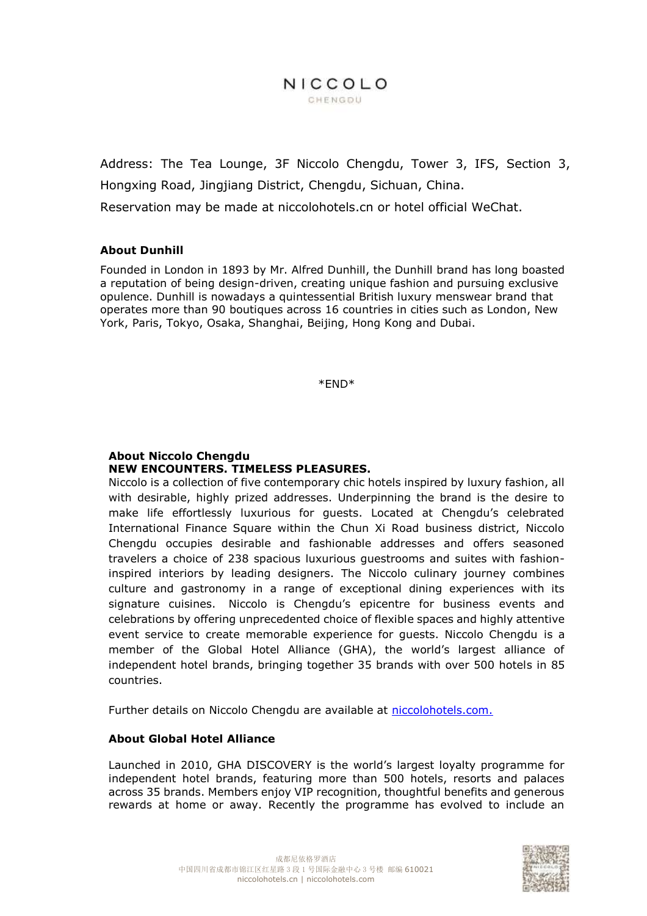# NICCOLO CHENGDU

Address: The Tea Lounge, 3F Niccolo Chengdu, Tower 3, IFS, Section 3, Hongxing Road, Jingjiang District, Chengdu, Sichuan, China. Reservation may be made at niccolohotels.cn or hotel official WeChat.

#### **About Dunhill**

Founded in London in 1893 by Mr. Alfred Dunhill, the Dunhill brand has long boasted a reputation of being design-driven, creating unique fashion and pursuing exclusive opulence. Dunhill is nowadays a quintessential British luxury menswear brand that operates more than 90 boutiques across 16 countries in cities such as London, New York, Paris, Tokyo, Osaka, Shanghai, Beijing, Hong Kong and Dubai.

\*END\*

## **About Niccolo Chengdu NEW ENCOUNTERS. TIMELESS PLEASURES.**

Niccolo is a collection of five contemporary chic hotels inspired by luxury fashion, all with desirable, highly prized addresses. Underpinning the brand is the desire to make life effortlessly luxurious for guests. Located at Chengdu's celebrated International Finance Square within the Chun Xi Road business district, Niccolo Chengdu occupies desirable and fashionable addresses and offers seasoned travelers a choice of 238 spacious luxurious guestrooms and suites with fashioninspired interiors by leading designers. The Niccolo culinary journey combines culture and gastronomy in a range of exceptional dining experiences with its signature cuisines. Niccolo is Chengdu's epicentre for business events and celebrations by offering unprecedented choice of flexible spaces and highly attentive event service to create memorable experience for guests. Niccolo Chengdu is a member of the Global Hotel Alliance (GHA), the world's largest alliance of independent hotel brands, bringing together 35 brands with over 500 hotels in 85 countries.

Further details on Niccolo Chengdu are available at [niccolohotels.com.](file:///C:/Users/cora.wu1/Documents/WeChat%20Files/wxid_rye4kf0arha012/FileStorage/File/2022-01/niccolohotels.com)

#### **About Global Hotel Alliance**

Launched in 2010, GHA DISCOVERY is the world's largest loyalty programme for independent hotel brands, featuring more than 500 hotels, resorts and palaces across 35 brands. Members enjoy VIP recognition, thoughtful benefits and generous rewards at home or away. Recently the programme has evolved to include an